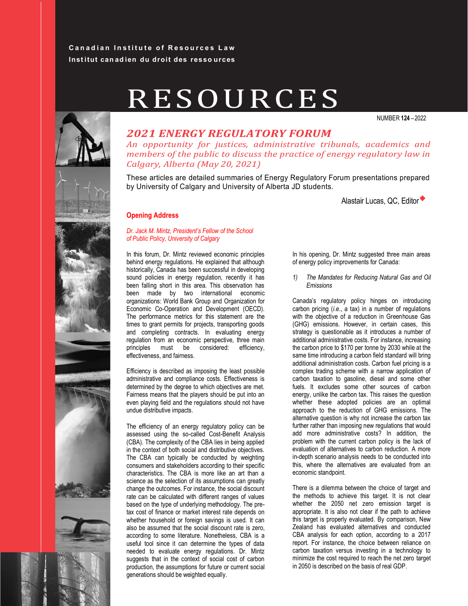### **Canadian Institute of Resources Law Inst itut can ad ien du droit des resso urces**

# RESOURCES

NUMBER **124-2022** 



## *2021 ENERGY REGULATORY FORUM*

*An opportunity for justices, administrative tribunals, academics and members of the public to discuss the practice of energy regulatory law in Calgary, Alberta (May 20, 2021)*

These articles are detailed summaries of Energy Regulatory Forum presentations prepared by University of Calgary and University of Alberta JD students.

Alastair Lucas, QC, Editor



#### **Opening Address**

#### Dr. Jack M. Mintz. President's Fellow of the School *of Public Policy, University of Calgary*

In this forum, Dr. Mintz reviewed economic principles behind energy regulations. He explained that although historically, Canada has been successful in developing sound policies in energy regulation, recently it has been falling short in this area. This observation has been made by two international economic organizations: World Bank Group and Organization for Economic Co-Operation and Development (OECD). The performance metrics for this statement are the times to grant permits for projects, transporting goods and completing contracts. In evaluating energy regulation from an economic perspective, three main principles must be considered: efficiency, effectiveness, and fairness.

Efficiency is described as imposing the least possible administrative and compliance costs. Effectiveness is determined by the degree to which objectives are met. Fairness means that the players should be put into an even playing field and the regulations should not have undue distributive impacts.

The efficiency of an energy regulatory policy can be assessed using the so-called Cost-Benefit Analysis (CBA). The complexity of the CBA lies in being applied in the context of both social and distributive objectives. The CBA can typically be conducted by weighting consumers and stakeholders according to their specific characteristics. The CBA is more like an art than a science as the selection of its assumptions can greatly change the outcomes. For instance, the social discount rate can be calculated with different ranges of values based on the type of underlying methodology. The pretax cost of finance or market interest rate depends on whether household or foreign savings is used. It can also be assumed that the social discount rate is zero, according to some literature. Nonetheless, CBA is a useful tool since it can determine the types of data needed to evaluate energy regulations. Dr. Mintz suggests that in the context of social cost of carbon production, the assumptions for future or current social generations should be weighted equally.

In his opening, Dr. Mintz suggested three main areas of energy policy improvements for Canada:

*1) The Mandates for Reducing Natural Gas and Oil Emissions*

Canada's regulatory policy hinges on introducing carbon pricing (*i.e*., a tax) in a number of regulations with the objective of a reduction in Greenhouse Gas (GHG) emissions. However, in certain cases, this strategy is questionable as it introduces a number of additional administrative costs. For instance, increasing the carbon price to \$170 per tonne by 2030 while at the same time introducing a carbon field standard will bring additional administration costs. Carbon fuel pricing is a complex trading scheme with a narrow application of carbon taxation to gasoline, diesel and some other fuels. It excludes some other sources of carbon energy, unlike the carbon tax. This raises the question whether these adopted policies are an optimal approach to the reduction of GHG emissions. The alternative question is why not increase the carbon tax further rather than imposing new regulations that would add more administrative costs? In addition, the problem with the current carbon policy is the lack of evaluation of alternatives to carbon reduction. A more in-depth scenario analysis needs to be conducted into this, where the alternatives are evaluated from an economic standpoint.

There is a dilemma between the choice of target and the methods to achieve this target. It is not clear whether the 2050 net zero emission target is appropriate. It is also not clear if the path to achieve this target is properly evaluated. By comparison, New Zealand has evaluated alternatives and conducted CBA analysis for each option, according to a 2017 report. For instance, the choice between reliance on carbon taxation versus investing in a technology to minimize the cost required to reach the net zero target in 2050 is described on the basis of real GDP.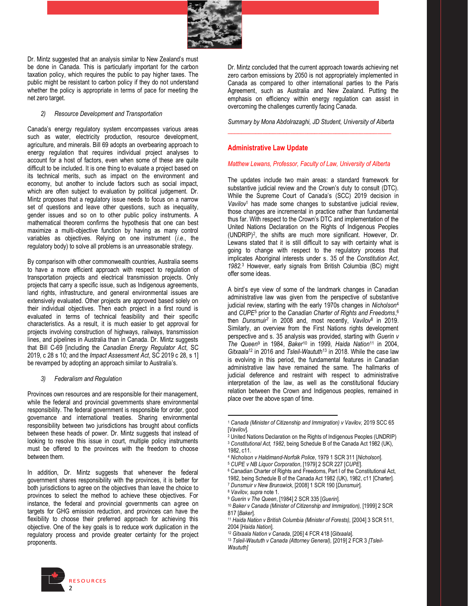

Dr. Mintz suggested that an analysis similar to New Zealand's must be done in Canada. This is particularly important for the carbon taxation policy, which requires the public to pay higher taxes. The public might be resistant to carbon policy if they do not understand whether the policy is appropriate in terms of pace for meeting the net zero target.

#### *2) Resource Development and Transportation*

Canada's energy regulatory system encompasses various areas such as water, electricity production, resource development, agriculture, and minerals. Bill 69 adopts an overbearing approach to energy regulation that requires individual project analyses to account for a host of factors, even when some of these are quite difficult to be included. It is one thing to evaluate a project based on its technical merits, such as impact on the environment and economy, but another to include factors such as social impact, which are often subject to evaluation by political judgement. Dr. Mintz proposes that a regulatory issue needs to focus on a narrow set of questions and leave other questions, such as inequality, gender issues and so on to other public policy instruments. A mathematical theorem confirms the hypothesis that one can best maximize a multi-objective function by having as many control variables as objectives. Relying on one instrument (*i.e*., the regulatory body) to solve all problems is an unreasonable strategy.

By comparison with other commonwealth countries, Australia seems to have a more efficient approach with respect to regulation of transportation projects and electrical transmission projects. Only projects that carry a specific issue, such as Indigenous agreements, land rights, infrastructure, and general environmental issues are extensively evaluated. Other projects are approved based solely on their individual objectives. Then each project in a first round is evaluated in terms of technical feasibility and their specific characteristics. As a result, it is much easier to get approval for projects involving construction of highways, railways, transmission lines, and pipelines in Australia than in Canada. Dr. Mintz suggests that Bill C-69 [including the *Canadian Energy Regulator Act*, SC 2019, c 28 s 10; and the *Impact Assessment Act*, SC 2019 c 28, s 1] be revamped by adopting an approach similar to Australia's.

#### *3) Federalism and Regulation*

Provinces own resources and are responsible for their management, while the federal and provincial governments share environmental responsibility. The federal government is responsible for order, good governance and international treaties. Sharing environmental responsibility between two jurisdictions has brought about conflicts between these heads of power. Dr. Mintz suggests that instead of looking to resolve this issue in court, multiple policy instruments must be offered to the provinces with the freedom to choose between them.

In addition, Dr. Mintz suggests that whenever the federal government shares responsibility with the provinces, it is better for both jurisdictions to agree on the objectives than leave the choice to provinces to select the method to achieve these objectives. For instance, the federal and provincial governments can agree on targets for GHG emission reduction, and provinces can have the flexibility to choose their preferred approach for achieving this objective. One of the key goals is to reduce work duplication in the regulatory process and provide greater certainty for the project proponents.

Dr. Mintz concluded that the current approach towards achieving net zero carbon emissions by 2050 is not appropriately implemented in Canada as compared to other international parties to the Paris Agreement, such as Australia and New Zealand. Putting the emphasis on efficiency within energy regulation can assist in overcoming the challenges currently facing Canada.

*Summary by Mona Abdolrazaghi, JD Student, University of Alberta* **\_\_\_\_\_\_\_\_\_\_\_\_\_\_\_\_\_\_\_\_\_\_\_\_\_\_\_\_\_\_\_\_\_\_\_\_\_\_\_\_\_\_\_\_\_\_\_**

#### **Administrative Law Update**

#### *Matthew Lewans, Professor, Faculty of Law, University of Alberta*

The updates include two main areas: a standard framework for substantive judicial review and the Crown's duty to consult (DTC). While the Supreme Court of Canada's (SCC) 2019 decision in *Vavilov*<sup>1</sup> has made some changes to substantive judicial review, those changes are incremental in practice rather than fundamental thus far. With respect to the Crown's DTC and implementation of the United Nations Declaration on the Rights of Indigenous Peoples (UNDRIP)2, the shifts are much more significant. However, Dr. Lewans stated that it is still difficult to say with certainty what is going to change with respect to the regulatory process that implicates Aboriginal interests under s. 35 of the *Constitution Act*, *1982.* <sup>3</sup> However, early signals from British Columbia (BC) might offer some ideas.

A bird's eye view of some of the landmark changes in Canadian administrative law was given from the perspective of substantive judicial review, starting with the early 1970s changes in *Nicholson*<sup>4</sup> and *CUPE*<sup>5</sup> prior to the *Canadian Charter of Rights and Freedoms*, 6 then *Dunsmuir*<sup>7</sup> in 2008 and, most recently, *Vavilov*<sup>8</sup> in 2019. Similarly, an overview from the First Nations rights development perspective and s. 35 analysis was provided, starting with *Guerin v The Queen*<sup>9</sup> in 1984, *Baker*<sup>10</sup> in 1999, *Haida Nation*<sup>11</sup> in 2004, *Gitxaala*<sup>12</sup> in 2016 and *Tsleil-Waututh*<sup>13</sup> in 2018. While the case law is evolving in this period, the fundamental features in Canadian administrative law have remained the same. The hallmarks of judicial deference and restraint with respect to administrative interpretation of the law, as well as the constitutional fiduciary relation between the Crown and Indigenous peoples, remained in place over the above span of time.



<sup>1</sup> *Canada (Minister of Citizenship and Immigration) v Vavilov,* 2019 SCC 65 [*Vavilov*].

<sup>&</sup>lt;sup>2</sup> United Nations Declaration on the Rights of Indigenous Peoples (UNDRIP) <sup>3</sup> *Constitutional Act, 1982*, being Schedule B of the Canada Act 1982 (UK),

<sup>1982,</sup> c11.<br>4 Nicholson v Haldimand-Norfolk Police, 1979 1 SCR 311 [Nicholson].

<sup>&</sup>lt;sup>5</sup> CUPE v NB Liquor Corporation, [1979] 2 SCR 227 [CUPE].<br><sup>6</sup> Canadian Charter of Rights and Freedoms, Part I of the Constitutional Act, 1982, being Schedule B of the Canada Act 1982 (UK), 1982, c11 [Charter].<br><sup>7</sup> Dunsmuir v New Brunswick, [2008] 1 SCR 190 [Dunsmuir].

<sup>&</sup>lt;sup>8</sup> Vavilov, supra note 1.<br><sup>9</sup> Guerin v The Queen, [1984] 2 SCR 335 [Guerin].<br><sup>10</sup> Baker v Canada (Minister of Citizenship and Immigration), [1999] 2 SCR<br>817 [Baker].

<sup>&</sup>lt;sup>11</sup> Haida Nation v British Columbia (Minister of Forests), [2004] 3 SCR 511, 2004 [Haida Nation].

<sup>&</sup>lt;sup>12</sup> Gitxaala Nation v Canada, [206] 4 FCR 418 [Gitxaala].<br><sup>13</sup> Tsleil-Waututh v Canada (Attorney General), [2019] 2 FCR 3 [Tsleil-*Waututh]*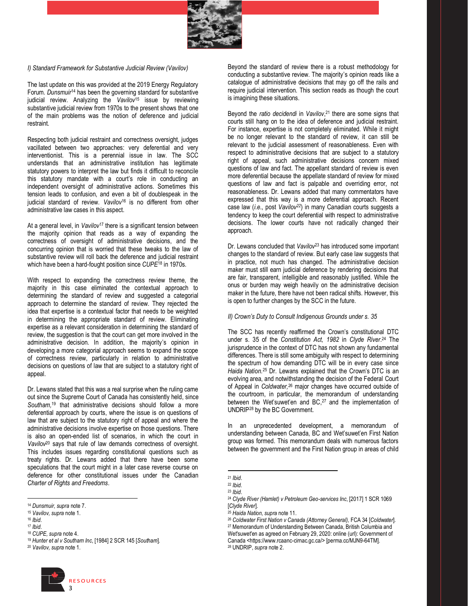

#### *I) Standard Framework for Substantive Judicial Review (Vavilov)*

The last update on this was provided at the 2019 Energy Regulatory Forum. *Dunsmuir*<sup>14</sup> has been the governing standard for substantive judicial review. Analyzing the *Vavilov*<sup>15</sup> issue by reviewing substantive judicial review from 1970s to the present shows that one of the main problems was the notion of deference and judicial restraint.

Respecting both judicial restraint and correctness oversight, judges vacillated between two approaches: very deferential and very interventionist. This is a perennial issue in law. The SCC understands that an administrative institution has legitimate statutory powers to interpret the law but finds it difficult to reconcile this statutory mandate with a court's role in conducting an independent oversight of administrative actions. Sometimes this tension leads to confusion, and even a bit of doublespeak in the judicial standard of review. *Vavilov*<sup>16</sup> is no different from other administrative law cases in this aspect.

At a general level, in *Vavilov*<sup>17</sup> there is a significant tension between the majority opinion that reads as a way of expanding the correctness of oversight of administrative decisions, and the concurring opinion that is worried that these tweaks to the law of substantive review will roll back the deference and judicial restraint which have been a hard-fought position since *CUPE*<sup>18</sup> in 1970s.

With respect to expanding the correctness review theme, the majority in this case eliminated the contextual approach to determining the standard of review and suggested a categorial approach to determine the standard of review. They rejected the idea that expertise is a contextual factor that needs to be weighted in determining the appropriate standard of review. Eliminating expertise as a relevant consideration in determining the standard of review, the suggestion is that the court can get more involved in the administrative decision. In addition, the majority's opinion in developing a more categorial approach seems to expand the scope of correctness review, particularly in relation to administrative decisions on questions of law that are subject to a statutory right of appeal.

Dr. Lewans stated that this was a real surprise when the ruling came out since the Supreme Court of Canada has consistently held, since *Southam,* <sup>19</sup> that administrative decisions should follow a more deferential approach by courts, where the issue is on questions of law that are subject to the statutory right of appeal and where the administrative decisions involve expertise on those questions. There is also an open-ended list of scenarios, in which the court in *Vavilov*<sup>20</sup> says that rule of law demands correctness of oversight. This includes issues regarding constitutional questions such as treaty rights. Dr. Lewans added that there have been some speculations that the court might in a later case reverse course on deference for other constitutional issues under the Canadian *Charter of Rights and Freedoms*.



Beyond the standard of review there is a robust methodology for conducting a substantive review. The majority's opinion reads like a catalogue of administrative decisions that may go off the rails and require judicial intervention. This section reads as though the court is imagining these situations.

Beyond the *ratio decidendi* in *Vavilov*, <sup>21</sup> there are some signs that courts still hang on to the idea of deference and judicial restraint. For instance, expertise is not completely eliminated. While it might be no longer relevant to the standard of review, it can still be relevant to the judicial assessment of reasonableness. Even with respect to administrative decisions that are subject to a statutory right of appeal, such administrative decisions concern mixed questions of law and fact. The appellant standard of review is even more deferential because the appellate standard of review for mixed questions of law and fact is palpable and overriding error, not reasonableness. Dr. Lewans added that many commentators have expressed that this way is a more deferential approach. Recent case law (*i.e*., post *Vavilov22*) in many Canadian courts suggests a tendency to keep the court deferential with respect to administrative decisions. The lower courts have not radically changed their approach.

Dr. Lewans concluded that *Vavilov*<sup>23</sup> has introduced some important changes to the standard of review. But early case law suggests that in practice, not much has changed. The administrative decision maker must still earn judicial deference by rendering decisions that are fair, transparent, intelligible and reasonably justified. While the onus or burden may weigh heavily on the administrative decision maker in the future, there have not been radical shifts. However, this is open to further changes by the SCC in the future.

#### *II) Crown's Duty to Consult Indigenous Grounds under s. 35*

The SCC has recently reaffirmed the Crown's constitutional DTC under s. 35 of the *Constitution Act, 1982* in *Clyde River*. <sup>24</sup> The jurisprudence in the context of DTC has not shown any fundamental differences. There is still some ambiguity with respect to determining the spectrum of how demanding DTC will be in every case since *Haida Nation.<sup>25</sup>* Dr. Lewans explained that the Crown's DTC is an evolving area, and notwithstanding the decision of the Federal Court of Appeal in *Coldwater,*<sup>26</sup> major changes have occurred outside of the courtroom, in particular, the memorandum of understanding between the Wet'suwet'en and  $BC<sub>1</sub><sup>27</sup>$  and the implementation of UNDRIP28 by the BC Government.

In an unprecedented development, a memorandum of understanding between Canada, BC and Wet'suwet'en First Nation group was formed. This memorandum deals with numerous factors between the government and the First Nation group in areas of child

<sup>14</sup> *Dunsmuir, supra* note 7. 15 *Vavilov, supra* note 1. 16 *Ibid*.

<sup>17</sup> *Ibid*. 18 *CUPE, supra* note 4. 19 *Hunter et al v Southam Inc*, [1984] 2 SCR 145 [*Southam*]. 20 *Vavilov, supra* note 1.

<sup>21</sup> *Ibid*.

<sup>22</sup> *Ibid.*

<sup>23</sup> *Ibid*.

<sup>24</sup> *Clyde River (Hamlet) v Petroleum Geo-services Inc*, [2017] 1 SCR 1069

<sup>&</sup>lt;sup>2s</sup> *Haida Nation, supra* note 11.<br><sup>26</sup> Coldwater First Nation v Canada (Attorney General), FCA 34 [Coldwater].<br><sup>27</sup> Memorandum of Understanding Between Canada, British Columbia and Wet'suwet'en as agreed on February 29, 2020: online (url): Government of Canada <https://www.rcaanc-cirnac.gc.ca/> [perma.cc/MJN9-64TM]. 28 UNDRIP, *supra* note 2.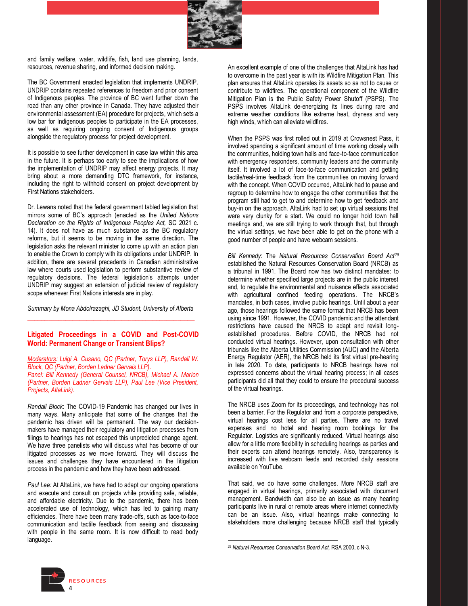

and family welfare, water, wildlife, fish, land use planning, lands, resources, revenue sharing, and informed decision making.

The BC Government enacted legislation that implements UNDRIP. UNDRIP contains repeated references to freedom and prior consent of Indigenous peoples. The province of BC went further down the road than any other province in Canada. They have adjusted their environmental assessment (EA) procedure for projects, which sets a low bar for Indigenous peoples to participate in the EA processes, as well as requiring ongoing consent of Indigenous groups alongside the regulatory process for project development.

It is possible to see further development in case law within this area in the future. It is perhaps too early to see the implications of how the implementation of UNDRIP may affect energy projects. It may bring about a more demanding DTC framework, for instance, including the right to withhold consent on project development by First Nations stakeholders.

Dr. Lewans noted that the federal government tabled legislation that mirrors some of BC's approach (enacted as the *United Nations Declaration on the Rights of Indigenous Peoples Act,* SC 2021 c. 14). It does not have as much substance as the BC regulatory reforms, but it seems to be moving in the same direction. The legislation asks the relevant minister to come up with an action plan to enable the Crown to comply with its obligations under UNDRIP. In addition, there are several precedents in Canadian administrative law where courts used legislation to perform substantive review of regulatory decisions. The federal legislation's attempts under UNDRIP may suggest an extension of judicial review of regulatory scope whenever First Nations interests are in play.

*Summary by Mona Abdolrazaghi, JD Student, University of Alberta*  **\_\_\_\_\_\_\_\_\_\_\_\_\_\_\_\_\_\_\_\_\_\_\_\_\_\_\_\_\_\_\_\_\_\_\_\_\_\_\_\_\_\_\_\_\_\_\_\_**

#### **Litigated Proceedings in a COVID and Post-COVID World: Permanent Change or Transient Blips?**

*Moderators: Luigi A. Cusano, QC (Partner, Torys LLP), Randall W. Block, QC (Partner, Borden Ladner Gervais LLP)*. *Panel: Bill Kennedy (General Counsel, NRCB), Michael A. Marion (Partner, Borden Ladner Gervais LLP), Paul Lee (Vice President, Projects, AltaLink).*

*Randall Block*: The COVID-19 Pandemic has changed our lives in many ways. Many anticipate that some of the changes that the pandemic has driven will be permanent. The way our decisionmakers have managed their regulatory and litigation processes from filings to hearings has not escaped this unpredicted change agent. We have three panelists who will discuss what has become of our litigated processes as we move forward. They will discuss the issues and challenges they have encountered in the litigation process in the pandemic and how they have been addressed.

*Paul Lee:* At AltaLink, we have had to adapt our ongoing operations and execute and consult on projects while providing safe, reliable, and affordable electricity. Due to the pandemic, there has been accelerated use of technology, which has led to gaining many efficiencies. There have been many trade-offs, such as face-to-face communication and tactile feedback from seeing and discussing with people in the same room. It is now difficult to read body language.

An excellent example of one of the challenges that AltaLink has had to overcome in the past year is with its Wildfire Mitigation Plan. This plan ensures that AltaLink operates its assets so as not to cause or contribute to wildfires. The operational component of the Wildfire Mitigation Plan is the Public Safety Power Shutoff (PSPS). The PSPS involves AltaLink de-energizing its lines during rare and extreme weather conditions like extreme heat, dryness and very high winds, which can alleviate wildfires.

When the PSPS was first rolled out in 2019 at Crowsnest Pass, it involved spending a significant amount of time working closely with the communities, holding town halls and face-to-face communication with emergency responders, community leaders and the community itself. It involved a lot of face-to-face communication and getting tactile/real-time feedback from the communities on moving forward with the concept. When COVID occurred, AltaLink had to pause and regroup to determine how to engage the other communities that the program still had to get to and determine how to get feedback and buy-in on the approach. AltaLink had to set up virtual sessions that were very clunky for a start. We could no longer hold town hall meetings and, we are still trying to work through that, but through the virtual settings, we have been able to get on the phone with a good number of people and have webcam sessions.

*Bill Kennedy*: The *Natural Resources Conservation Board Act29* established the Natural Resources Conservation Board (NRCB) as a tribunal in 1991. The Board now has two distinct mandates: to determine whether specified large projects are in the public interest and, to regulate the environmental and nuisance effects associated with agricultural confined feeding operations. The NRCB's mandates, in both cases, involve public hearings. Until about a year ago, those hearings followed the same format that NRCB has been using since 1991. However, the COVID pandemic and the attendant restrictions have caused the NRCB to adapt and revisit longestablished procedures. Before COVID, the NRCB had not conducted virtual hearings. However, upon consultation with other tribunals like the Alberta Utilities Commission (AUC) and the Alberta Energy Regulator (AER), the NRCB held its first virtual pre-hearing in late 2020. To date, participants to NRCB hearings have not expressed concerns about the virtual hearing process; in all cases participants did all that they could to ensure the procedural success of the virtual hearings.

The NRCB uses Zoom for its proceedings, and technology has not been a barrier. For the Regulator and from a corporate perspective, virtual hearings cost less for all parties. There are no travel expenses and no hotel and hearing room bookings for the Regulator. Logistics are significantly reduced. Virtual hearings also allow for a little more flexibility in scheduling hearings as parties and their experts can attend hearings remotely. Also, transparency is increased with live webcam feeds and recorded daily sessions available on YouTube.

That said, we do have some challenges. More NRCB staff are engaged in virtual hearings, primarily associated with document management. Bandwidth can also be an issue as many hearing participants live in rural or remote areas where internet connectivity can be an issue. Also, virtual hearings make connecting to stakeholders more challenging because NRCB staff that typically



<sup>29</sup> *Natural Resources Conservation Board Act,* RSA 2000, c N-3.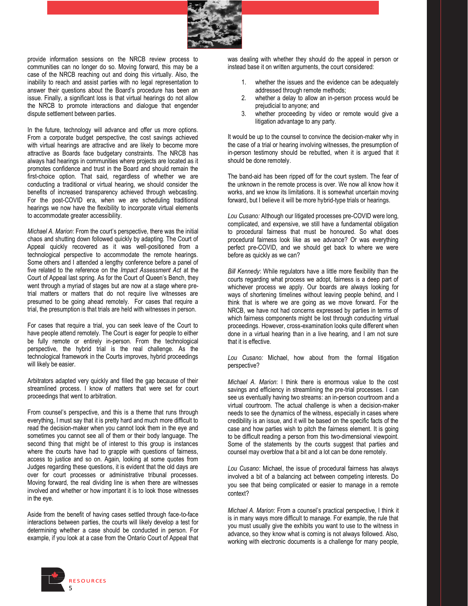

provide information sessions on the NRCB review process to communities can no longer do so. Moving forward, this may be a case of the NRCB reaching out and doing this virtually. Also, the inability to reach and assist parties with no legal representation to answer their questions about the Board's procedure has been an issue. Finally, a significant loss is that virtual hearings do not allow the NRCB to promote interactions and dialogue that engender dispute settlement between parties.

In the future, technology will advance and offer us more options. From a corporate budget perspective, the cost savings achieved with virtual hearings are attractive and are likely to become more attractive as Boards face budgetary constraints. The NRCB has always had hearings in communities where projects are located as it promotes confidence and trust in the Board and should remain the first-choice option. That said, regardless of whether we are conducting a traditional or virtual hearing, we should consider the benefits of increased transparency achieved through webcasting. For the post-COVID era, when we are scheduling traditional hearings we now have the flexibility to incorporate virtual elements to accommodate greater accessibility.

*Michael A. Marion*: From the court's perspective, there was the initial chaos and shutting down followed quickly by adapting. The Court of Appeal quickly recovered as it was well-positioned from a technological perspective to accommodate the remote hearings. Some others and I attended a lengthy conference before a panel of five related to the reference on the *Impact Assessment Act* at the Court of Appeal last spring. As for the Court of Queen's Bench, they went through a myriad of stages but are now at a stage where pretrial matters or matters that do not require live witnesses are presumed to be going ahead remotely. For cases that require a trial, the presumption is that trials are held with witnesses in person.

For cases that require a trial, you can seek leave of the Court to have people attend remotely. The Court is eager for people to either be fully remote or entirely in-person. From the technological perspective, the hybrid trial is the real challenge. As the technological framework in the Courts improves, hybrid proceedings will likely be easier.

Arbitrators adapted very quickly and filled the gap because of their streamlined process. I know of matters that were set for court proceedings that went to arbitration.

From counsel's perspective, and this is a theme that runs through everything, I must say that it is pretty hard and much more difficult to read the decision-maker when you cannot look them in the eye and sometimes you cannot see all of them or their body language. The second thing that might be of interest to this group is instances where the courts have had to grapple with questions of fairness, access to justice and so on. Again, looking at some quotes from Judges regarding these questions, it is evident that the old days are over for court processes or administrative tribunal processes. Moving forward, the real dividing line is when there are witnesses involved and whether or how important it is to look those witnesses in the eye.

Aside from the benefit of having cases settled through face-to-face interactions between parties, the courts will likely develop a test for determining whether a case should be conducted in person. For example, if you look at a case from the Ontario Court of Appeal that

was dealing with whether they should do the appeal in person or instead base it on written arguments, the court considered:

- 1. whether the issues and the evidence can be adequately addressed through remote methods;
- 2. whether a delay to allow an in-person process would be prejudicial to anyone; and
- 3. whether proceeding by video or remote would give a litigation advantage to any party.

It would be up to the counsel to convince the decision-maker why in the case of a trial or hearing involving witnesses, the presumption of in-person testimony should be rebutted, when it is argued that it should be done remotely.

The band-aid has been ripped off for the court system. The fear of the unknown in the remote process is over. We now all know how it works, and we know its limitations. It is somewhat uncertain moving forward, but I believe it will be more hybrid-type trials or hearings.

*Lou Cusano:* Although our litigated processes pre-COVID were long, complicated, and expensive, we still have a fundamental obligation to procedural fairness that must be honoured. So what does procedural fairness look like as we advance? Or was everything perfect pre-COVID, and we should get back to where we were before as quickly as we can?

*Bill Kennedy*: While regulators have a little more flexibility than the courts regarding what process we adopt, fairness is a deep part of whichever process we apply. Our boards are always looking for ways of shortening timelines without leaving people behind, and I think that is where we are going as we move forward. For the NRCB, we have not had concerns expressed by parties in terms of which fairness components might be lost through conducting virtual proceedings. However, cross-examination looks quite different when done in a virtual hearing than in a live hearing, and I am not sure that it is effective.

*Lou Cusano:* Michael, how about from the formal litigation perspective?

*Michael A. Marion*: I think there is enormous value to the cost savings and efficiency in streamlining the pre-trial processes. I can see us eventually having two streams: an in-person courtroom and a virtual courtroom. The actual challenge is when a decision-maker needs to see the dynamics of the witness, especially in cases where credibility is an issue, and it will be based on the specific facts of the case and how parties wish to pitch the fairness element. It is going to be difficult reading a person from this two-dimensional viewpoint. Some of the statements by the courts suggest that parties and counsel may overblow that a bit and a lot can be done remotely.

*Lou Cusano*: Michael, the issue of procedural fairness has always involved a bit of a balancing act between competing interests. Do you see that being complicated or easier to manage in a remote context?

*Michael A. Marion*: From a counsel's practical perspective, I think it is in many ways more difficult to manage. For example, the rule that you must usually give the exhibits you want to use to the witness in advance, so they know what is coming is not always followed. Also, working with electronic documents is a challenge for many people,

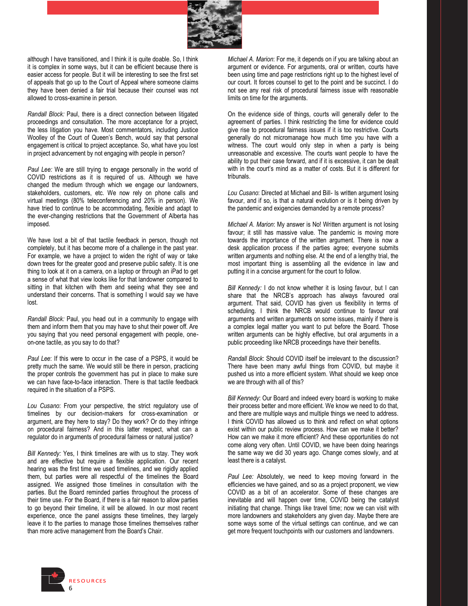

although I have transitioned, and I think it is quite doable. So, I think it is complex in some ways, but it can be efficient because there is easier access for people. But it will be interesting to see the first set of appeals that go up to the Court of Appeal where someone claims they have been denied a fair trial because their counsel was not allowed to cross-examine in person.

*Randall Block:* Paul, there is a direct connection between litigated proceedings and consultation. The more acceptance for a project, the less litigation you have. Most commentators, including Justice Woolley of the Court of Queen's Bench, would say that personal engagement is critical to project acceptance. So, what have you lost in project advancement by not engaging with people in person?

*Paul Lee:* We are still trying to engage personally in the world of COVID restrictions as it is required of us. Although we have changed the medium through which we engage our landowners, stakeholders, customers, etc. We now rely on phone calls and virtual meetings (80% teleconferencing and 20% in person). We have tried to continue to be accommodating, flexible and adapt to the ever-changing restrictions that the Government of Alberta has imposed.

We have lost a bit of that tactile feedback in person, though not completely, but it has become more of a challenge in the past year. For example, we have a project to widen the right of way or take down trees for the greater good and preserve public safety. It is one thing to look at it on a camera, on a laptop or through an iPad to get a sense of what that view looks like for that landowner compared to sitting in that kitchen with them and seeing what they see and understand their concerns. That is something I would say we have lost.

*Randall Block:* Paul, you head out in a community to engage with them and inform them that you may have to shut their power off. Are you saying that you need personal engagement with people, oneon-one tactile, as you say to do that?

*Paul Lee*: If this were to occur in the case of a PSPS, it would be pretty much the same. We would still be there in person, practicing the proper controls the government has put in place to make sure we can have face-to-face interaction. There is that tactile feedback required in the situation of a PSPS.

*Lou Cusano*: From your perspective, the strict regulatory use of timelines by our decision-makers for cross-examination or argument, are they here to stay? Do they work? Or do they infringe on procedural fairness? And in this latter respect, what can a regulator do in arguments of procedural fairness or natural justice?

*Bill Kennedy:* Yes, I think timelines are with us to stay. They work and are effective but require a flexible application. Our recent hearing was the first time we used timelines, and we rigidly applied them, but parties were all respectful of the timelines the Board assigned. We assigned those timelines in consultation with the parties. But the Board reminded parties throughout the process of their time use. For the Board, if there is a fair reason to allow parties to go beyond their timeline, it will be allowed. In our most recent experience, once the panel assigns these timelines, they largely leave it to the parties to manage those timelines themselves rather than more active management from the Board's Chair.

*Michael A. Marion*: For me, it depends on if you are talking about an argument or evidence. For arguments, oral or written, courts have been using time and page restrictions right up to the highest level of our court. It forces counsel to get to the point and be succinct. I do not see any real risk of procedural fairness issue with reasonable limits on time for the arguments.

On the evidence side of things, courts will generally defer to the agreement of parties. I think restricting the time for evidence could give rise to procedural fairness issues if it is too restrictive. Courts generally do not micromanage how much time you have with a witness. The court would only step in when a party is being unreasonable and excessive. The courts want people to have the ability to put their case forward, and if it is excessive, it can be dealt with in the court's mind as a matter of costs. But it is different for tribunals.

*Lou Cusano*: Directed at Michael and Bill- Is written argument losing favour, and if so, is that a natural evolution or is it being driven by the pandemic and exigencies demanded by a remote process?

*Michael A. Marion*: My answer is No! Written argument is not losing favour; it still has massive value. The pandemic is moving more towards the importance of the written argument. There is now a desk application process if the parties agree; everyone submits written arguments and nothing else. At the end of a lengthy trial, the most important thing is assembling all the evidence in law and putting it in a concise argument for the court to follow.

*Bill Kennedy:* I do not know whether it is losing favour, but I can share that the NRCB's approach has always favoured oral argument. That said, COVID has given us flexibility in terms of scheduling. I think the NRCB would continue to favour oral arguments and written arguments on some issues, mainly if there is a complex legal matter you want to put before the Board. Those written arguments can be highly effective, but oral arguments in a public proceeding like NRCB proceedings have their benefits.

*Randall Block*: Should COVID itself be irrelevant to the discussion? There have been many awful things from COVID, but maybe it pushed us into a more efficient system. What should we keep once we are through with all of this?

*Bill Kennedy*: Our Board and indeed every board is working to make their process better and more efficient. We know we need to do that, and there are multiple ways and multiple things we need to address. I think COVID has allowed us to think and reflect on what options exist within our public review process. How can we make it better? How can we make it more efficient? And these opportunities do not come along very often. Until COVID, we have been doing hearings the same way we did 30 years ago. Change comes slowly, and at least there is a catalyst.

*Paul Lee:* Absolutely, we need to keep moving forward in the efficiencies we have gained, and so as a project proponent, we view COVID as a bit of an accelerator. Some of these changes are inevitable and will happen over time, COVID being the catalyst initiating that change. Things like travel time; now we can visit with more landowners and stakeholders any given day. Maybe there are some ways some of the virtual settings can continue, and we can get more frequent touchpoints with our customers and landowners.

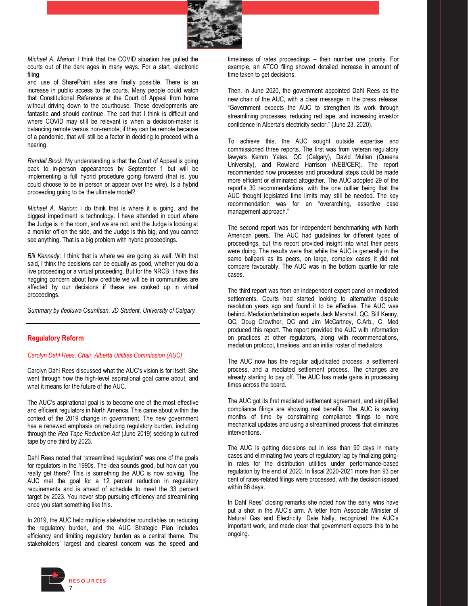

*Michael A. Marion*: I think that the COVID situation has pulled the courts out of the dark ages in many ways. For a start, electronic filing

and use of SharePoint sites are finally possible. There is an increase in public access to the courts. Many people could watch that Constitutional Reference at the Court of Appeal from home without driving down to the courthouse. These developments are fantastic and should continue. The part that I think is difficult and where COVID may still be relevant is when a decision-maker is balancing remote versus non-remote; if they can be remote because of a pandemic, that will still be a factor in deciding to proceed with a hearing.

*Randall Block:* My understanding is that the Court of Appeal is going back to in-person appearances by September 1 but will be implementing a full hybrid procedure going forward (that is, you could choose to be in person or appear over the wire). Is a hybrid proceeding going to be the ultimate model?

*Michael A. Marion*: I do think that is where it is going, and the biggest impediment is technology. I have attended in court where the Judge is in the room, and we are not, and the Judge is looking at a monitor off on the side, and the Judge is this big, and you cannot see anything. That is a big problem with hybrid proceedings.

*Bill Kennedy*: I think that is where we are going as well. With that said, I think the decisions can be equally as good, whether you do a live proceeding or a virtual proceeding. But for the NRCB, I have this nagging concern about how credible we will be in communities are affected by our decisions if these are cooked up in virtual proceedings.

*Summary by Ifeoluwa Osunfisan, JD Student, University of Calgary*

#### **Regulatory Reform**

#### *Carolyn Dahl Rees, Chair, Alberta Utilities Commission (AUC)*

Carolyn Dahl Rees discussed what the AUC's vision is for itself. She went through how the high-level aspirational goal came about, and what it means for the future of the AUC.

The AUC's aspirational goal is to become one of the most effective and efficient regulators in North America. This came about within the context of the 2019 change in government. The new government has a renewed emphasis on reducing regulatory burden, including through the *Red Tape Reduction Act* (June 2019) seeking to cut red tape by one third by 2023.

Dahl Rees noted that "streamlined regulation" was one of the goals for regulators in the 1990s. The idea sounds good, but how can you really get there? This is something the AUC is now solving. The AUC met the goal for a 12 percent reduction in regulatory requirements and is ahead of schedule to meet the 33 percent target by 2023. You never stop pursuing efficiency and streamlining once you start something like this.

In 2019, the AUC held multiple stakeholder roundtables on reducing the regulatory burden, and the AUC Strategic Plan includes efficiency and limiting regulatory burden as a central theme. The stakeholders' largest and clearest concern was the speed and timeliness of rates proceedings - their number one priority. For example, an ATCO filing showed detailed increase in amount of time taken to get decisions.

Then, in June 2020, the government appointed Dahl Rees as the new chair of the AUC, with a clear message in the press release: "Government expects the AUC to strengthen its work through streamlining processes, reducing red tape, and increasing investor confidence in Alberta's electricity sector." (June 23, 2020).

To achieve this, the AUC sought outside expertise and commissioned three reports. The first was from veteran regulatory lawyers Kemm Yates, QC (Calgary), David Mullan (Queens University), and Rowland Harrison (NEB/CER). The report recommended how processes and procedural steps could be made more efficient or eliminated altogether. The AUC adopted 29 of the report's 30 recommendations, with the one outlier being that the AUC thought legislated time limits may still be needed. The key recommendation was for an "overarching, assertive case management approach."

The second report was for independent benchmarking with North American peers. The AUC had guidelines for different types of proceedings, but this report provided insight into what their peers were doing. The results were that while the AUC is generally in the same ballpark as its peers, on large, complex cases it did not compare favourably. The AUC was in the bottom quartile for rate cases.

The third report was from an independent expert panel on mediated settlements. Courts had started looking to alternative dispute resolution years ago and found it to be effective. The AUC was behind. Mediation/arbitration experts Jack Marshall, QC, Bill Kenny, QC, Doug Crowther, QC and Jim McCartney, C.Arb., C. Med produced this report. The report provided the AUC with information on practices at other regulators, along with recommendations, mediation protocol, timelines, and an initial roster of mediators.

The AUC now has the regular adjudicated process, a settlement process, and a mediated settlement process. The changes are already starting to pay off. The AUC has made gains in processing times across the board.

The AUC got its first mediated settlement agreement, and simplified compliance filings are showing real benefits. The AUC is saving months of time by constraining compliance filings to more mechanical updates and using a streamlined process that eliminates interventions.

The AUC Is getting decisions out in less than 90 days in many cases and eliminating two years of regulatory lag by finalizing goingin rates for the distribution utilities under performance-based regulation by the end of 2020. In fiscal 2020-2021 more than 93 per cent of rates-related filings were processed, with the decision issued within 66 days.

In Dahl Rees' closing remarks she noted how the early wins have put a shot in the AUC's arm. A letter from Associate Minister of Natural Gas and Electricity, Dale Nally, recognized the AUC's important work, and made clear that government expects this to be ongoing.

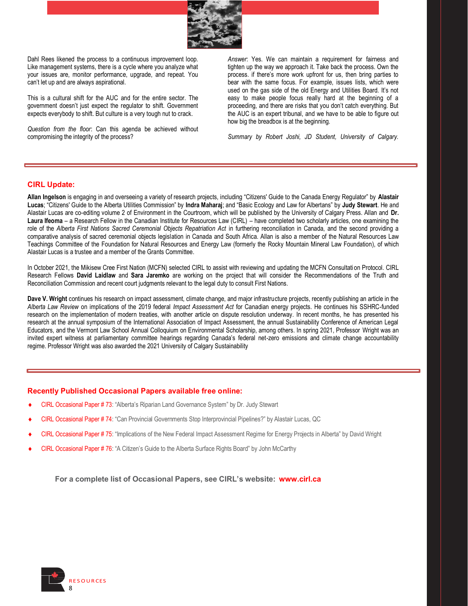

Dahl Rees likened the process to a continuous improvement loop. Like management systems, there is a cycle where you analyze what your issues are, monitor performance, upgrade, and repeat. You can't let up and are always aspirational.

This is a cultural shift for the AUC and for the entire sector. The government doesn't just expect the regulator to shift. Government expects everybody to shift. But culture is a very tough nut to crack.

*Question from the floor*: Can this agenda be achieved without compromising the integrity of the process?

*Answer*: Yes. We can maintain a requirement for fairness and tighten up the way we approach it. Take back the process. Own the process. if there's more work upfront for us, then bring parties to bear with the same focus. For example, issues lists, which were used on the gas side of the old Energy and Utilities Board. It's not easy to make people focus really hard at the beginning of a proceeding, and there are risks that you don't catch everything. But the AUC is an expert tribunal, and we have to be able to figure out how big the breadbox is at the beginning.

*Summary by Robert Joshi, JD Student, University of Calgary.* 

#### **CIRL Update:**

Allan Ingelson is engaging in and overseeing a variety of research projects, including "Citizens' Guide to the Canada Energy Regulator" by Alastair Lucas; "Citizens' Guide to the Alberta Utilities Commission" by Indra Maharaj; and "Basic Ecology and Law for Albertans" by Judy Stewart. He and Alastair Lucas are co-editing volume 2 of Environment in the Courtroom, which will be published by the University of Calgary Press. Allan and **Dr.** Laura Ifeoma - a Research Fellow in the Canadian Institute for Resources Law (CIRL) - have completed two scholarly articles, one examining the role of the *Alberta First Nations Sacred Ceremonial Objects Repatriation Act* in furthering reconciliation in Canada, and the second providing a comparative analysis of sacred ceremonial objects legislation in Canada and South Africa. Allan is also a member of the Natural Resources Law Teachings Committee of the Foundation for Natural Resources and Energy Law (formerly the Rocky Mountain Mineral Law Foundation), of which Alastair Lucas is a trustee and a member of the Grants Committee.

In October 2021, the Mikisew Cree First Nation (MCFN) selected CIRL to assist with reviewing and updating the MCFN Consultati on Protocol. CIRL Research Fellows **David Laidlaw** and **Sara Jaremko** are working on the project that will consider the Recommendations of the Truth and Reconciliation Commission and recent court judgments relevant to the legal duty to consult First Nations.

**Dave V. Wright** continues his research on impact assessment, climate change, and major infrastructure projects, recently publishing an article in the *Alberta Law Review* on implications of the 2019 federal *Impact Assessment Act* for Canadian energy projects. He continues his SSHRC-funded research on the implementation of modern treaties, with another article on dispute resolution underway. In recent months, he has presented his research at the annual symposium of the International Association of Impact Assessment, the annual Sustainability Conference of American Legal Educators, and the Vermont Law School Annual Colloquium on Environmental Scholarship, among others. In spring 2021, Professor Wright was an invited expert witness at parliamentary committee hearings regarding Canada's federal net-zero emissions and climate change accountability regime. Professor Wright was also awarded the 2021 University of Calgary Sustainability

#### **Recently Published Occasional Papers available free online:**

- CIRL Occasional Paper # 73: "Alberta's Riparian Land Governance System" by Dr. Judy Stewart
- CIRL Occasional Paper # 74: "Can Provincial Governments Stop Interprovincial Pipelines?" by Alastair Lucas, QC
- CIRL Occasional Paper # 75: "Implications of the New Federal Impact Assessment Regime for Energy Projects in Alberta" by David Wright
- CIRL Occasional Paper # 76: "A Citizen's Guide to the Alberta Surface Rights Board" by John McCarthy

**For a complete list of Occasional Papers, see CIRL's website: [www.cirl.ca](http://www.cirl.ca/)**